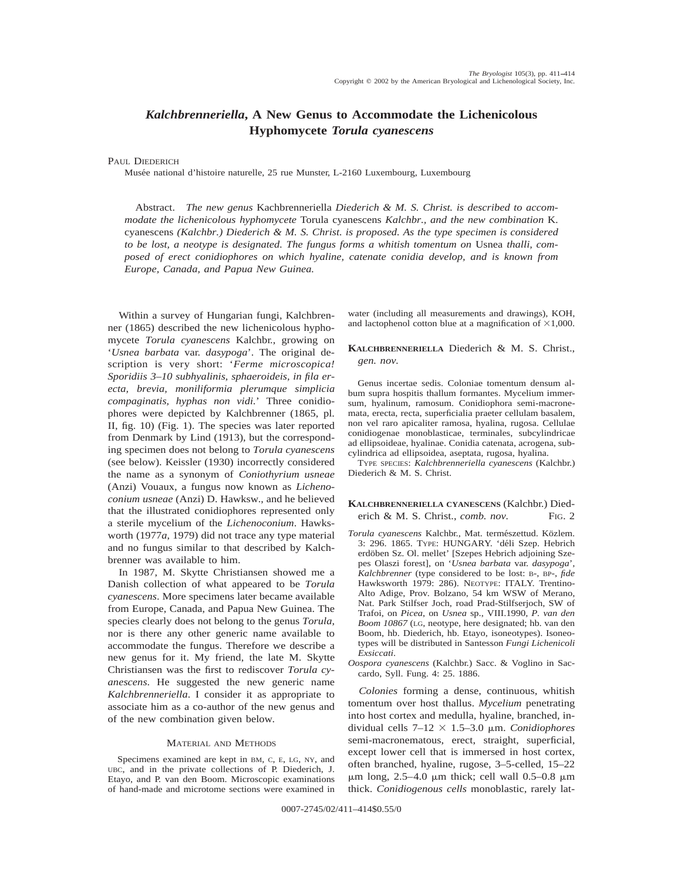# *Kalchbrenneriella***, A New Genus to Accommodate the Lichenicolous Hyphomycete** *Torula cyanescens*

## PAUL DIEDERICH

Musée national d'histoire naturelle, 25 rue Munster, L-2160 Luxembourg, Luxembourg

Abstract. *The new genus* Kachbrenneriella *Diederich & M. S. Christ. is described to accommodate the lichenicolous hyphomycete* Torula cyanescens *Kalchbr., and the new combination* K. cyanescens *(Kalchbr.) Diederich & M. S. Christ. is proposed. As the type specimen is considered to be lost, a neotype is designated. The fungus forms a whitish tomentum on* Usnea *thalli, composed of erect conidiophores on which hyaline, catenate conidia develop, and is known from Europe, Canada, and Papua New Guinea.*

Within a survey of Hungarian fungi, Kalchbrenner (1865) described the new lichenicolous hyphomycete *Torula cyanescens* Kalchbr., growing on '*Usnea barbata* var. *dasypoga*'. The original description is very short: '*Ferme microscopica! Sporidiis 3–10 subhyalinis, sphaeroideis, in fila erecta, brevia, moniliformia plerumque simplicia compaginatis, hyphas non vidi.*' Three conidiophores were depicted by Kalchbrenner (1865, pl. II, fig. 10) (Fig. 1). The species was later reported from Denmark by Lind (1913), but the corresponding specimen does not belong to *Torula cyanescens* (see below). Keissler (1930) incorrectly considered the name as a synonym of *Coniothyrium usneae* (Anzi) Vouaux, a fungus now known as *Lichenoconium usneae* (Anzi) D. Hawksw., and he believed that the illustrated conidiophores represented only a sterile mycelium of the *Lichenoconium*. Hawksworth (1977*a*, 1979) did not trace any type material and no fungus similar to that described by Kalchbrenner was available to him.

In 1987, M. Skytte Christiansen showed me a Danish collection of what appeared to be *Torula cyanescens*. More specimens later became available from Europe, Canada, and Papua New Guinea. The species clearly does not belong to the genus *Torula*, nor is there any other generic name available to accommodate the fungus. Therefore we describe a new genus for it. My friend, the late M. Skytte Christiansen was the first to rediscover *Torula cyanescens*. He suggested the new generic name *Kalchbrenneriella*. I consider it as appropriate to associate him as a co-author of the new genus and of the new combination given below.

### MATERIAL AND METHODS

Specimens examined are kept in BM, C, E, LG, NY, and UBC, and in the private collections of P. Diederich, J. Etayo, and P. van den Boom. Microscopic examinations of hand-made and microtome sections were examined in water (including all measurements and drawings), KOH, and lactophenol cotton blue at a magnification of  $\times 1,000$ .

# **KALCHBRENNERIELLA** Diederich & M. S. Christ., *gen. nov.*

Genus incertae sedis. Coloniae tomentum densum album supra hospitis thallum formantes. Mycelium immersum, hyalinum, ramosum. Conidiophora semi-macronemata, erecta, recta, superficialia praeter cellulam basalem, non vel raro apicaliter ramosa, hyalina, rugosa. Cellulae conidiogenae monoblasticae, terminales, subcylindricae ad ellipsoideae, hyalinae. Conidia catenata, acrogena, subcylindrica ad ellipsoidea, aseptata, rugosa, hyalina.

TYPE SPECIES: *Kalchbrenneriella cyanescens* (Kalchbr.) Diederich & M. S. Christ.

### **KALCHBRENNERIELLA CYANESCENS** (Kalchbr.) Diederich & M. S. Christ., *comb. nov.* FIG. 2

- *Torula cyanescens* Kalchbr., Mat. terme´szettud. Ko¨zlem. 3: 296. 1865. TYPE: HUNGARY. 'déli Szep. Hebrich erdöben Sz. Ol. mellet' [Szepes Hebrich adjoining Szepes Olaszi forest], on '*Usnea barbata* var. *dasypoga*', *Kalchbrenner* (type considered to be lost: B-, BP-, *fide* Hawksworth 1979: 286). NEOTYPE: ITALY. Trentino-Alto Adige, Prov. Bolzano, 54 km WSW of Merano, Nat. Park Stilfser Joch, road Prad-Stilfserjoch, SW of Trafoi, on *Picea*, on *Usnea* sp., VIII.1990, *P. van den Boom 10867* (LG, neotype, here designated; hb. van den Boom, hb. Diederich, hb. Etayo, isoneotypes). Isoneotypes will be distributed in Santesson *Fungi Lichenicoli Exsiccati*.
- *Oospora cyanescens* (Kalchbr.) Sacc. & Voglino in Saccardo, Syll. Fung. 4: 25. 1886.

*Colonies* forming a dense, continuous, whitish tomentum over host thallus. *Mycelium* penetrating into host cortex and medulla, hyaline, branched, individual cells  $7-12 \times 1.5-3.0 \mu m$ . *Conidiophores* semi-macronematous, erect, straight, superficial, except lower cell that is immersed in host cortex, often branched, hyaline, rugose, 3–5-celled, 15–22  $\mu$ m long, 2.5–4.0  $\mu$ m thick; cell wall 0.5–0.8  $\mu$ m thick. *Conidiogenous cells* monoblastic, rarely lat-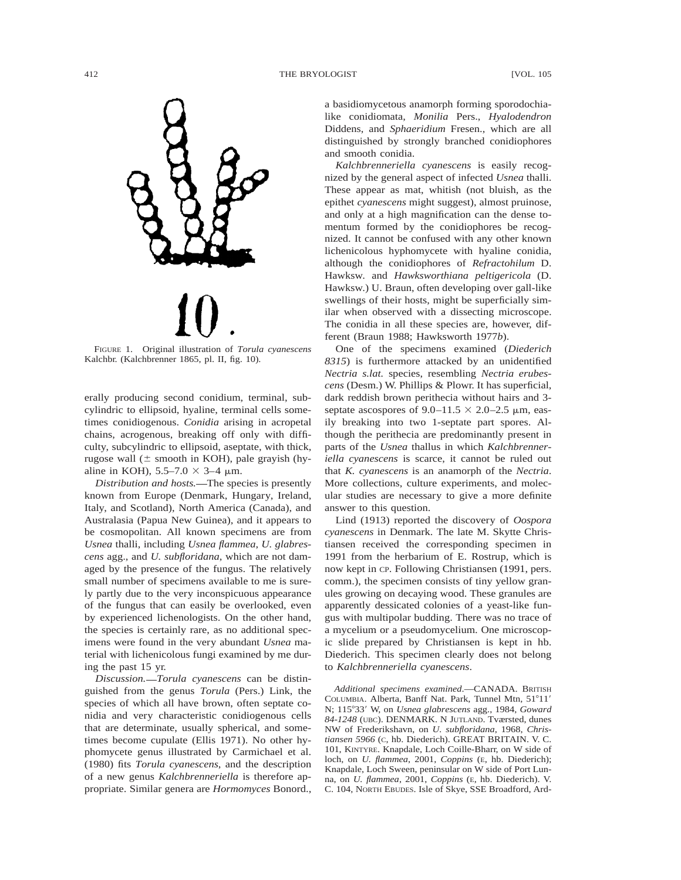

FIGURE 1. Original illustration of *Torula cyanescens* Kalchbr. (Kalchbrenner 1865, pl. II, fig. 10).

erally producing second conidium, terminal, subcylindric to ellipsoid, hyaline, terminal cells sometimes conidiogenous. *Conidia* arising in acropetal chains, acrogenous, breaking off only with difficulty, subcylindric to ellipsoid, aseptate, with thick, rugose wall  $(\pm$  smooth in KOH), pale grayish (hyaline in KOH),  $5.5-7.0 \times 3-4 \mu$ m.

*Distribution and hosts.*—The species is presently known from Europe (Denmark, Hungary, Ireland, Italy, and Scotland), North America (Canada), and Australasia (Papua New Guinea), and it appears to be cosmopolitan. All known specimens are from *Usnea* thalli, including *Usnea flammea*, *U. glabrescens* agg., and *U. subfloridana*, which are not damaged by the presence of the fungus. The relatively small number of specimens available to me is surely partly due to the very inconspicuous appearance of the fungus that can easily be overlooked, even by experienced lichenologists. On the other hand, the species is certainly rare, as no additional specimens were found in the very abundant *Usnea* material with lichenicolous fungi examined by me during the past 15 yr.

*Discussion. Torula cyanescens* can be distinguished from the genus *Torula* (Pers.) Link, the species of which all have brown, often septate conidia and very characteristic conidiogenous cells that are determinate, usually spherical, and sometimes become cupulate (Ellis 1971). No other hyphomycete genus illustrated by Carmichael et al. (1980) fits *Torula cyanescens*, and the description of a new genus *Kalchbrenneriella* is therefore appropriate. Similar genera are *Hormomyces* Bonord., a basidiomycetous anamorph forming sporodochialike conidiomata, *Monilia* Pers., *Hyalodendron* Diddens, and *Sphaeridium* Fresen., which are all distinguished by strongly branched conidiophores and smooth conidia.

*Kalchbrenneriella cyanescens* is easily recognized by the general aspect of infected *Usnea* thalli. These appear as mat, whitish (not bluish, as the epithet *cyanescens* might suggest), almost pruinose, and only at a high magnification can the dense tomentum formed by the conidiophores be recognized. It cannot be confused with any other known lichenicolous hyphomycete with hyaline conidia, although the conidiophores of *Refractohilum* D. Hawksw. and *Hawksworthiana peltigericola* (D. Hawksw.) U. Braun, often developing over gall-like swellings of their hosts, might be superficially similar when observed with a dissecting microscope. The conidia in all these species are, however, different (Braun 1988; Hawksworth 1977*b*).

One of the specimens examined (*Diederich 8315*) is furthermore attacked by an unidentified *Nectria s.lat.* species, resembling *Nectria erubescens* (Desm.) W. Phillips & Plowr. It has superficial, dark reddish brown perithecia without hairs and 3 septate ascospores of  $9.0-11.5 \times 2.0-2.5 \mu m$ , easily breaking into two 1-septate part spores. Although the perithecia are predominantly present in parts of the *Usnea* thallus in which *Kalchbrenneriella cyanescens* is scarce, it cannot be ruled out that *K. cyanescens* is an anamorph of the *Nectria*. More collections, culture experiments, and molecular studies are necessary to give a more definite answer to this question.

Lind (1913) reported the discovery of *Oospora cyanescens* in Denmark. The late M. Skytte Christiansen received the corresponding specimen in 1991 from the herbarium of E. Rostrup, which is now kept in CP. Following Christiansen (1991, pers. comm.), the specimen consists of tiny yellow granules growing on decaying wood. These granules are apparently dessicated colonies of a yeast-like fungus with multipolar budding. There was no trace of a mycelium or a pseudomycelium. One microscopic slide prepared by Christiansen is kept in hb. Diederich. This specimen clearly does not belong to *Kalchbrenneriella cyanescens*.

*Additional specimens examined*.—CANADA. BRITISH COLUMBIA. Alberta, Banff Nat. Park, Tunnel Mtn, 51°11' N; 115°33' W, on *Usnea glabrescens* agg., 1984, *Goward 84-1248* (UBC). DENMARK. N JUTLAND. Tværsted, dunes NW of Frederikshavn, on *U. subfloridana*, 1968, *Christiansen 5966* (C, hb. Diederich). GREAT BRITAIN. V. C. 101, KINTYRE. Knapdale, Loch Coille-Bharr, on W side of loch, on *U. flammea*, 2001, *Coppins* (E, hb. Diederich); Knapdale, Loch Sween, peninsular on W side of Port Lunna, on *U. flammea*, 2001, *Coppins* (E, hb. Diederich). V. C. 104, NORTH EBUDES. Isle of Skye, SSE Broadford, Ard-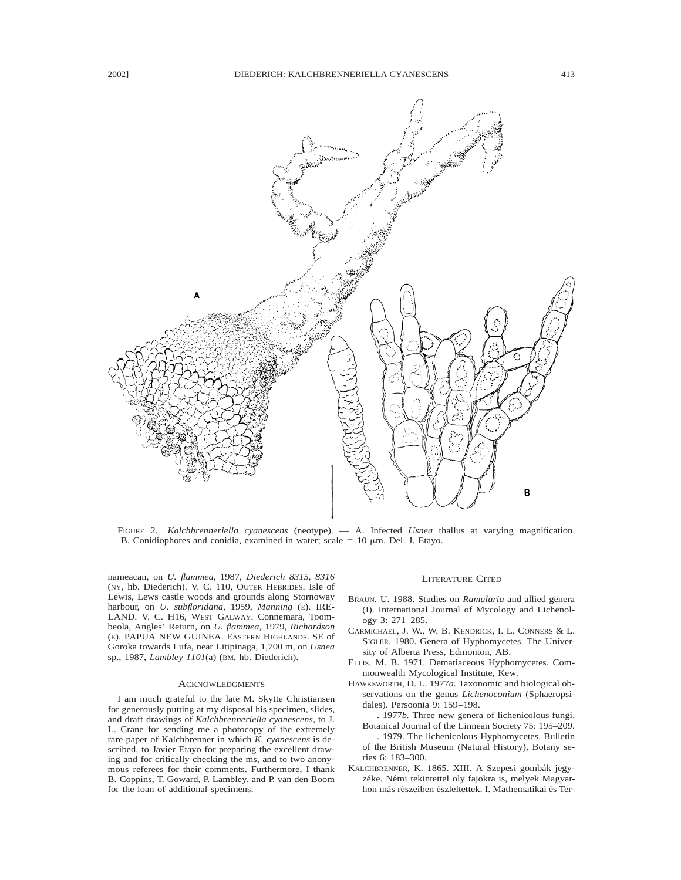

FIGURE 2. *Kalchbrenneriella cyanescens* (neotype). — A. Infected *Usnea* thallus at varying magnification. - B. Conidiophores and conidia, examined in water; scale  $= 10 \mu m$ . Del. J. Etayo.

nameacan, on *U. flammea*, 1987, *Diederich 8315, 8316* (NY, hb. Diederich). V. C. 110, OUTER HEBRIDES. Isle of Lewis, Lews castle woods and grounds along Stornoway harbour, on *U. subfloridana*, 1959, *Manning* (E). IRE-LAND. V. C. H16, WEST GALWAY. Connemara, Toombeola, Angles' Return, on *U. flammea*, 1979, *Richardson* (E). PAPUA NEW GUINEA. EASTERN HIGHLANDS. SE of Goroka towards Lufa, near Litipinaga, 1,700 m, on *Usnea* sp., 1987, *Lambley 1101*(a) (BM, hb. Diederich).

#### ACKNOWLEDGMENTS

I am much grateful to the late M. Skytte Christiansen for generously putting at my disposal his specimen, slides, and draft drawings of *Kalchbrenneriella cyanescens*, to J. L. Crane for sending me a photocopy of the extremely rare paper of Kalchbrenner in which *K. cyanescens* is described, to Javier Etayo for preparing the excellent drawing and for critically checking the ms, and to two anonymous referees for their comments. Furthermore, I thank B. Coppins, T. Goward, P. Lambley, and P. van den Boom for the loan of additional specimens.

#### LITERATURE CITED

- BRAUN, U. 1988. Studies on *Ramularia* and allied genera (I). International Journal of Mycology and Lichenology 3: 271–285.
- CARMICHAEL, J. W., W. B. KENDRICK, I. L. CONNERS & L. SIGLER. 1980. Genera of Hyphomycetes. The University of Alberta Press, Edmonton, AB.
- ELLIS, M. B. 1971. Dematiaceous Hyphomycetes. Commonwealth Mycological Institute, Kew.
- HAWKSWORTH, D. L. 1977*a.* Taxonomic and biological observations on the genus *Lichenoconium* (Sphaeropsidales). Persoonia 9: 159–198.
	- ———. 1977*b.* Three new genera of lichenicolous fungi.
- Botanical Journal of the Linnean Society 75: 195–209. -. 1979. The lichenicolous Hyphomycetes. Bulletin of the British Museum (Natural History), Botany series 6: 183–300.
- KALCHBRENNER, K. 1865. XIII. A Szepesi gombák jegyzéke. Némi tekintettel oly fajokra is, melyek Magyarhon más részeiben észleltettek. I. Mathematikai és Ter-